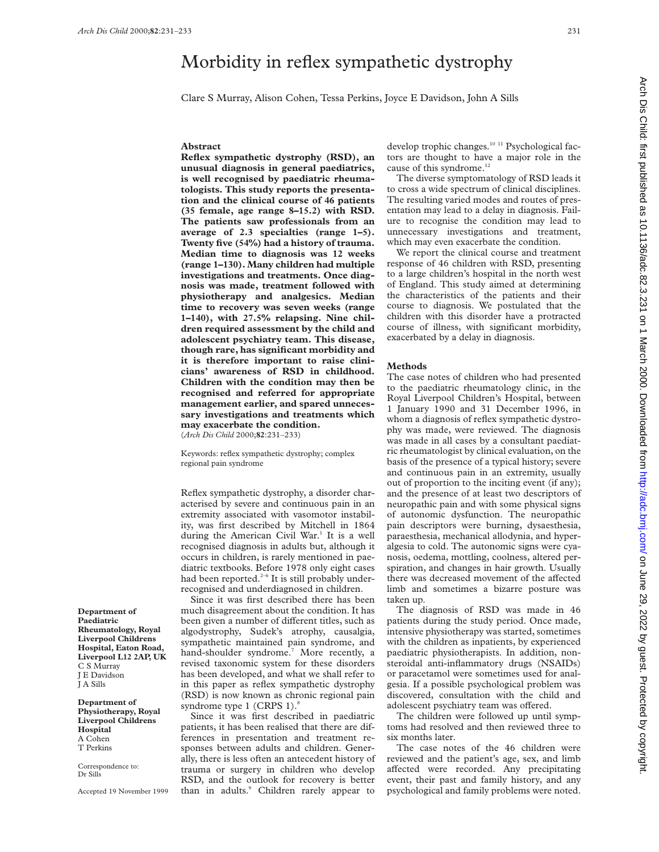# Morbidity in reflex sympathetic dystrophy

Clare S Murray, Alison Cohen, Tessa Perkins, Joyce E Davidson, John A Sills

### **Abstract**

**Reflex sympathetic dystrophy (RSD), an unusual diagnosis in general paediatrics, is well recognised by paediatric rheumatologists. This study reports the presentation and the clinical course of 46 patients (35 female, age range 8–15.2) with RSD. The patients saw professionals from an average of 2.3 specialties (range 1–5). Twenty five (54%) had a history of trauma. Median time to diagnosis was 12 weeks (range 1–130). Many children had multiple investigations and treatments. Once diagnosis was made, treatment followed with physiotherapy and analgesics. Median time to recovery was seven weeks (range 1–140), with 27.5% relapsing. Nine children required assessment by the child and adolescent psychiatry team. This disease, though rare, has significant morbidity and it is therefore important to raise clinicians' awareness of RSD in childhood. Children with the condition may then be recognised and referred for appropriate management earlier, and spared unnecessary investigations and treatments which may exacerbate the condition.** (*Arch Dis Child* 2000;**82**:231–233)

Keywords: reflex sympathetic dystrophy; complex regional pain syndrome

Reflex sympathetic dystrophy, a disorder characterised by severe and continuous pain in an extremity associated with vasomotor instability, was first described by Mitchell in 1864 during the American Civil War.<sup>1</sup> It is a well recognised diagnosis in adults but, although it occurs in children, is rarely mentioned in paediatric textbooks. Before 1978 only eight cases had been reported.<sup>2-6</sup> It is still probably underrecognised and underdiagnosed in children.

Since it was first described there has been much disagreement about the condition. It has been given a number of different titles, such as algodystrophy, Sudek's atrophy, causalgia, sympathetic maintained pain syndrome, and hand-shoulder syndrome.<sup>7</sup> More recently, a revised taxonomic system for these disorders has been developed, and what we shall refer to in this paper as reflex sympathetic dystrophy (RSD) is now known as chronic regional pain syndrome type 1 (CRPS 1).<sup>8</sup>

Since it was first described in paediatric patients, it has been realised that there are differences in presentation and treatment responses between adults and children. Generally, there is less often an antecedent history of trauma or surgery in children who develop RSD, and the outlook for recovery is better than in adults.<sup>9</sup> Children rarely appear to

develop trophic changes.<sup>10 11</sup> Psychological factors are thought to have a major role in the cause of this syndrome.<sup>12</sup>

The diverse symptomatology of RSD leads it to cross a wide spectrum of clinical disciplines. The resulting varied modes and routes of presentation may lead to a delay in diagnosis. Failure to recognise the condition may lead to unnecessary investigations and treatment, which may even exacerbate the condition.

We report the clinical course and treatment response of 46 children with RSD, presenting to a large children's hospital in the north west of England. This study aimed at determining the characteristics of the patients and their course to diagnosis. We postulated that the children with this disorder have a protracted course of illness, with significant morbidity, exacerbated by a delay in diagnosis.

#### **Methods**

The case notes of children who had presented to the paediatric rheumatology clinic, in the Royal Liverpool Children's Hospital, between 1 January 1990 and 31 December 1996, in whom a diagnosis of reflex sympathetic dystrophy was made, were reviewed. The diagnosis was made in all cases by a consultant paediatric rheumatologist by clinical evaluation, on the basis of the presence of a typical history; severe and continuous pain in an extremity, usually out of proportion to the inciting event (if any); and the presence of at least two descriptors of neuropathic pain and with some physical signs of autonomic dysfunction. The neuropathic pain descriptors were burning, dysaesthesia, paraesthesia, mechanical allodynia, and hyperalgesia to cold. The autonomic signs were cyanosis, oedema, mottling, coolness, altered perspiration, and changes in hair growth. Usually there was decreased movement of the affected limb and sometimes a bizarre posture was taken up.

The diagnosis of RSD was made in 46 patients during the study period. Once made, intensive physiotherapy was started, sometimes with the children as inpatients, by experienced paediatric physiotherapists. In addition, nonsteroidal anti-inflammatory drugs (NSAIDs) or paracetamol were sometimes used for analgesia. If a possible psychological problem was discovered, consultation with the child and adolescent psychiatry team was offered.

The children were followed up until symptoms had resolved and then reviewed three to six months later.

The case notes of the 46 children were reviewed and the patient's age, sex, and limb affected were recorded. Any precipitating event, their past and family history, and any psychological and family problems were noted.

 on June 29, 2022 by guest. Protected by copyright. <http://adc.bmj.com/> Arch Dis Child: first published as 10.1136/adc.82.3.231 on 1 March 2000. Downloaded from Arch Dis Child: first published as 10.1136/adc.82.3.231 on 1 March 2000. Downloaded from http://adc.bmj.com/ on June 29, 2022 by guest. Protected by copyright

**Department of Paediatric Rheumatology, Royal Liverpool Childrens Hospital, Eaton Road, Liverpool L12 2AP, UK** C S Murray J E Davidson J A Sills

**Department of Physiotherapy, Royal Liverpool Childrens Hospital** A Cohen T Perkins

Correspondence to: Dr Sills

Accepted 19 November 1999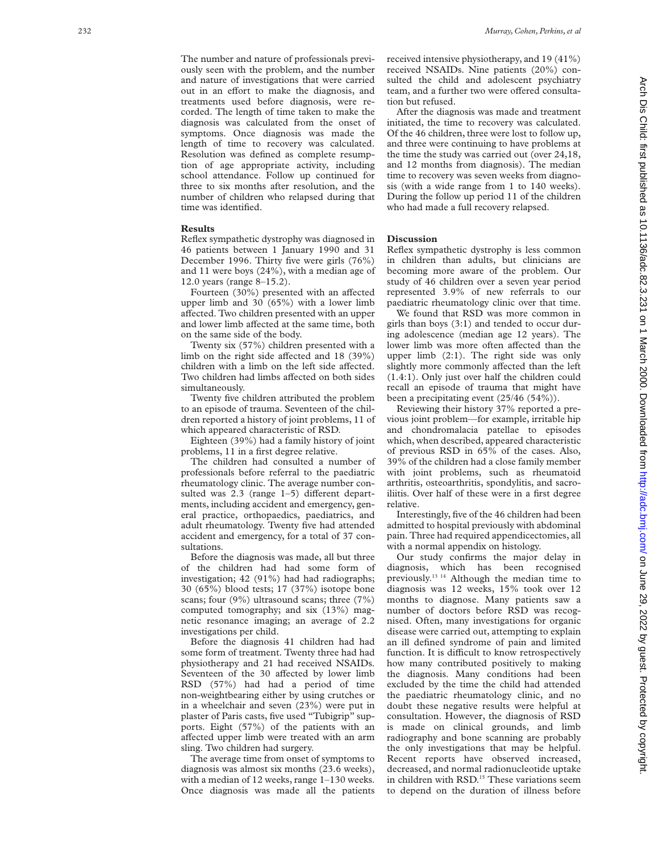The number and nature of professionals previously seen with the problem, and the number and nature of investigations that were carried out in an effort to make the diagnosis, and treatments used before diagnosis, were recorded. The length of time taken to make the diagnosis was calculated from the onset of symptoms. Once diagnosis was made the length of time to recovery was calculated. Resolution was defined as complete resumption of age appropriate activity, including school attendance. Follow up continued for three to six months after resolution, and the number of children who relapsed during that time was identified.

#### **Results**

Reflex sympathetic dystrophy was diagnosed in 46 patients between 1 January 1990 and 31 December 1996. Thirty five were girls (76%) and 11 were boys (24%), with a median age of 12.0 years (range 8–15.2).

Fourteen (30%) presented with an affected upper limb and 30 (65%) with a lower limb affected. Two children presented with an upper and lower limb affected at the same time, both on the same side of the body.

Twenty six (57%) children presented with a limb on the right side affected and 18 (39%) children with a limb on the left side affected. Two children had limbs affected on both sides simultaneously.

Twenty five children attributed the problem to an episode of trauma. Seventeen of the children reported a history of joint problems, 11 of which appeared characteristic of RSD.

Eighteen (39%) had a family history of joint problems, 11 in a first degree relative.

The children had consulted a number of professionals before referral to the paediatric rheumatology clinic. The average number consulted was  $2.3$  (range  $1-5$ ) different departments, including accident and emergency, general practice, orthopaedics, paediatrics, and adult rheumatology. Twenty five had attended accident and emergency, for a total of 37 consultations.

Before the diagnosis was made, all but three of the children had had some form of investigation; 42 (91%) had had radiographs; 30 (65%) blood tests; 17 (37%) isotope bone scans; four (9%) ultrasound scans; three (7%) computed tomography; and six (13%) magnetic resonance imaging; an average of 2.2 investigations per child.

Before the diagnosis 41 children had had some form of treatment. Twenty three had had physiotherapy and 21 had received NSAIDs. Seventeen of the 30 affected by lower limb RSD (57%) had had a period of time non-weightbearing either by using crutches or in a wheelchair and seven (23%) were put in plaster of Paris casts, five used "Tubigrip" supports. Eight (57%) of the patients with an affected upper limb were treated with an arm sling. Two children had surgery.

The average time from onset of symptoms to diagnosis was almost six months (23.6 weeks), with a median of 12 weeks, range 1–130 weeks. Once diagnosis was made all the patients received intensive physiotherapy, and 19 (41%) received NSAIDs. Nine patients (20%) consulted the child and adolescent psychiatry team, and a further two were offered consultation but refused.

After the diagnosis was made and treatment initiated, the time to recovery was calculated. Of the 46 children, three were lost to follow up, and three were continuing to have problems at the time the study was carried out (over 24,18, and 12 months from diagnosis). The median time to recovery was seven weeks from diagnosis (with a wide range from 1 to 140 weeks). During the follow up period 11 of the children who had made a full recovery relapsed.

## **Discussion**

Reflex sympathetic dystrophy is less common in children than adults, but clinicians are becoming more aware of the problem. Our study of 46 children over a seven year period represented 3.9% of new referrals to our paediatric rheumatology clinic over that time.

We found that RSD was more common in girls than boys (3:1) and tended to occur during adolescence (median age 12 years). The lower limb was more often affected than the upper limb (2:1). The right side was only slightly more commonly affected than the left (1.4:1). Only just over half the children could recall an episode of trauma that might have been a precipitating event (25/46 (54%)).

Reviewing their history 37% reported a previous joint problem—for example, irritable hip and chondromalacia patellae to episodes which, when described, appeared characteristic of previous RSD in 65% of the cases. Also, 39% of the children had a close family member with joint problems, such as rheumatoid arthritis, osteoarthritis, spondylitis, and sacroiliitis. Over half of these were in a first degree relative.

Interestingly, five of the 46 children had been admitted to hospital previously with abdominal pain. Three had required appendicectomies, all with a normal appendix on histology.

Our study confirms the major delay in diagnosis, which has been recognised previously.13 14 Although the median time to diagnosis was 12 weeks, 15% took over 12 months to diagnose. Many patients saw a number of doctors before RSD was recognised. Often, many investigations for organic disease were carried out, attempting to explain an ill defined syndrome of pain and limited function. It is difficult to know retrospectively how many contributed positively to making the diagnosis. Many conditions had been excluded by the time the child had attended the paediatric rheumatology clinic, and no doubt these negative results were helpful at consultation. However, the diagnosis of RSD is made on clinical grounds, and limb radiography and bone scanning are probably the only investigations that may be helpful. Recent reports have observed increased, decreased, and normal radionucleotide uptake in children with RSD.<sup>15</sup> These variations seem to depend on the duration of illness before